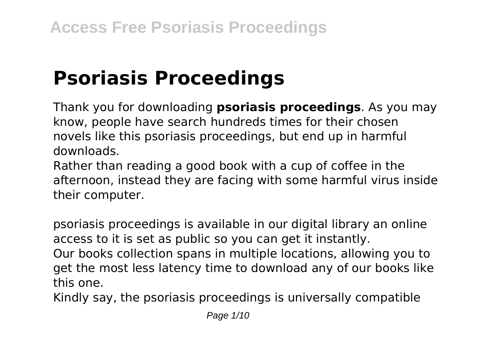# **Psoriasis Proceedings**

Thank you for downloading **psoriasis proceedings**. As you may know, people have search hundreds times for their chosen novels like this psoriasis proceedings, but end up in harmful downloads.

Rather than reading a good book with a cup of coffee in the afternoon, instead they are facing with some harmful virus inside their computer.

psoriasis proceedings is available in our digital library an online access to it is set as public so you can get it instantly. Our books collection spans in multiple locations, allowing you to get the most less latency time to download any of our books like this one.

Kindly say, the psoriasis proceedings is universally compatible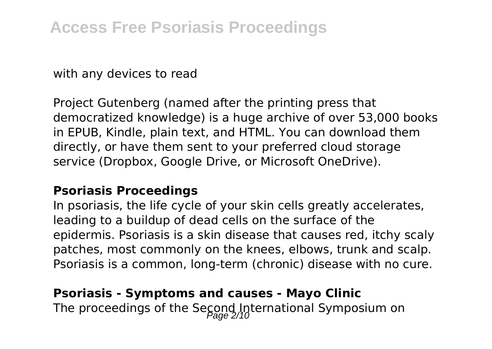with any devices to read

Project Gutenberg (named after the printing press that democratized knowledge) is a huge archive of over 53,000 books in EPUB, Kindle, plain text, and HTML. You can download them directly, or have them sent to your preferred cloud storage service (Dropbox, Google Drive, or Microsoft OneDrive).

#### **Psoriasis Proceedings**

In psoriasis, the life cycle of your skin cells greatly accelerates, leading to a buildup of dead cells on the surface of the epidermis. Psoriasis is a skin disease that causes red, itchy scaly patches, most commonly on the knees, elbows, trunk and scalp. Psoriasis is a common, long-term (chronic) disease with no cure.

# **Psoriasis - Symptoms and causes - Mayo Clinic** The proceedings of the Second International Symposium on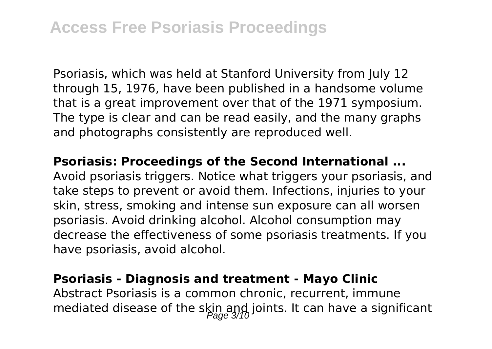Psoriasis, which was held at Stanford University from July 12 through 15, 1976, have been published in a handsome volume that is a great improvement over that of the 1971 symposium. The type is clear and can be read easily, and the many graphs and photographs consistently are reproduced well.

#### **Psoriasis: Proceedings of the Second International ...**

Avoid psoriasis triggers. Notice what triggers your psoriasis, and take steps to prevent or avoid them. Infections, injuries to your skin, stress, smoking and intense sun exposure can all worsen psoriasis. Avoid drinking alcohol. Alcohol consumption may decrease the effectiveness of some psoriasis treatments. If you have psoriasis, avoid alcohol.

#### **Psoriasis - Diagnosis and treatment - Mayo Clinic**

Abstract Psoriasis is a common chronic, recurrent, immune mediated disease of the skin and joints. It can have a significant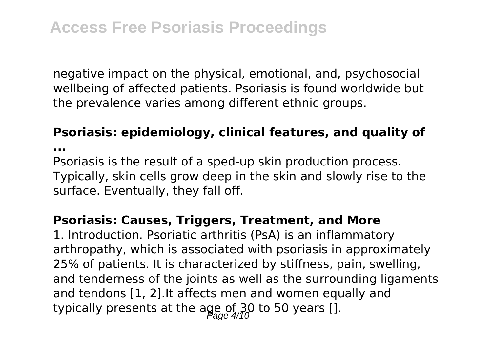negative impact on the physical, emotional, and, psychosocial wellbeing of affected patients. Psoriasis is found worldwide but the prevalence varies among different ethnic groups.

#### **Psoriasis: epidemiology, clinical features, and quality of**

**...**

Psoriasis is the result of a sped-up skin production process. Typically, skin cells grow deep in the skin and slowly rise to the surface. Eventually, they fall off.

#### **Psoriasis: Causes, Triggers, Treatment, and More**

1. Introduction. Psoriatic arthritis (PsA) is an inflammatory arthropathy, which is associated with psoriasis in approximately 25% of patients. It is characterized by stiffness, pain, swelling, and tenderness of the joints as well as the surrounding ligaments and tendons [1, 2].It affects men and women equally and typically presents at the age of 30 to 50 years [].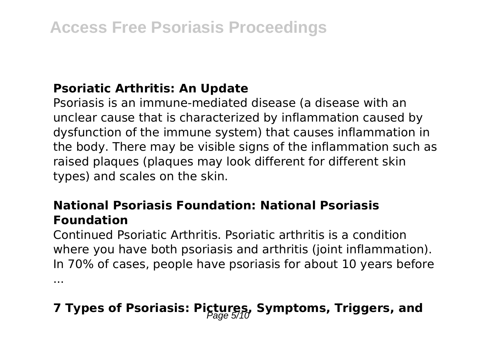# **Psoriatic Arthritis: An Update**

Psoriasis is an immune-mediated disease (a disease with an unclear cause that is characterized by inflammation caused by dysfunction of the immune system) that causes inflammation in the body. There may be visible signs of the inflammation such as raised plaques (plaques may look different for different skin types) and scales on the skin.

# **National Psoriasis Foundation: National Psoriasis Foundation**

Continued Psoriatic Arthritis. Psoriatic arthritis is a condition where you have both psoriasis and arthritis (joint inflammation). In 70% of cases, people have psoriasis for about 10 years before ...

# **7 Types of Psoriasis: Pictures, Symptoms, Triggers, and** Page 5/10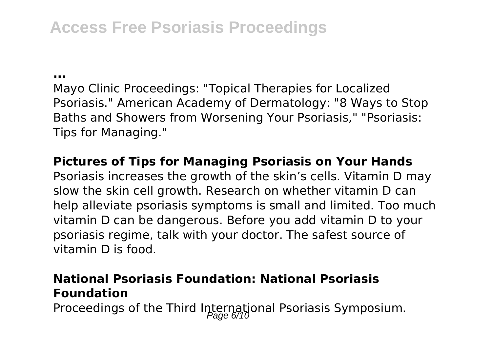# **Access Free Psoriasis Proceedings**

**...**

Mayo Clinic Proceedings: "Topical Therapies for Localized Psoriasis." American Academy of Dermatology: "8 Ways to Stop Baths and Showers from Worsening Your Psoriasis," "Psoriasis: Tips for Managing."

# **Pictures of Tips for Managing Psoriasis on Your Hands**

Psoriasis increases the growth of the skin's cells. Vitamin D may slow the skin cell growth. Research on whether vitamin D can help alleviate psoriasis symptoms is small and limited. Too much vitamin D can be dangerous. Before you add vitamin D to your psoriasis regime, talk with your doctor. The safest source of vitamin D is food.

# **National Psoriasis Foundation: National Psoriasis Foundation**

Proceedings of the Third International Psoriasis Symposium.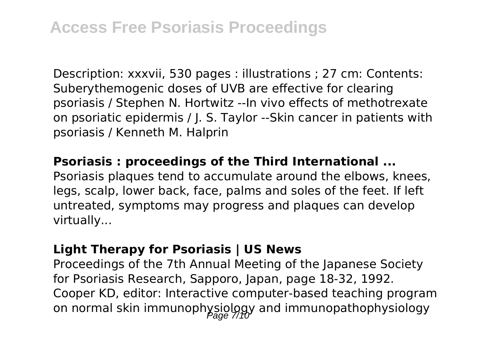Description: xxxvii, 530 pages : illustrations ; 27 cm: Contents: Suberythemogenic doses of UVB are effective for clearing psoriasis / Stephen N. Hortwitz --In vivo effects of methotrexate on psoriatic epidermis / J. S. Taylor --Skin cancer in patients with psoriasis / Kenneth M. Halprin

### **Psoriasis : proceedings of the Third International ...**

Psoriasis plaques tend to accumulate around the elbows, knees, legs, scalp, lower back, face, palms and soles of the feet. If left untreated, symptoms may progress and plaques can develop virtually...

#### **Light Therapy for Psoriasis | US News**

Proceedings of the 7th Annual Meeting of the Japanese Society for Psoriasis Research, Sapporo, Japan, page 18-32, 1992. Cooper KD, editor: Interactive computer-based teaching program on normal skin immunophysiology and immunopathophysiology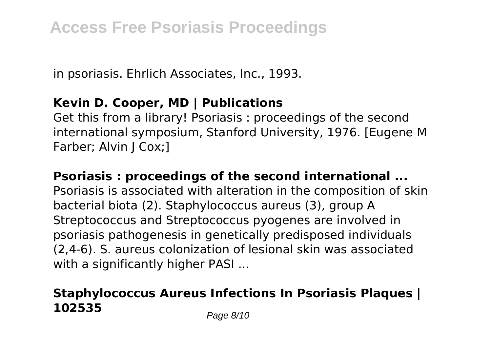in psoriasis. Ehrlich Associates, Inc., 1993.

# **Kevin D. Cooper, MD | Publications**

Get this from a library! Psoriasis : proceedings of the second international symposium, Stanford University, 1976. [Eugene M Farber; Alvin J Cox;]

### **Psoriasis : proceedings of the second international ...**

Psoriasis is associated with alteration in the composition of skin bacterial biota (2). Staphylococcus aureus (3), group A Streptococcus and Streptococcus pyogenes are involved in psoriasis pathogenesis in genetically predisposed individuals (2,4-6). S. aureus colonization of lesional skin was associated with a significantly higher PASI ...

# **Staphylococcus Aureus Infections In Psoriasis Plaques | 102535** Page 8/10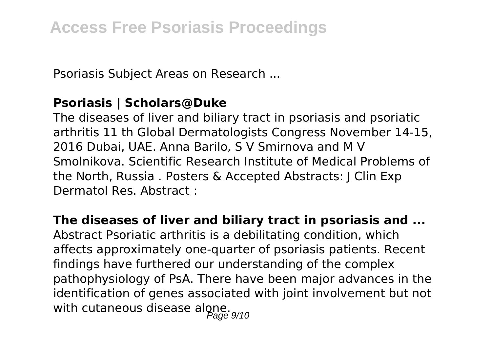Psoriasis Subject Areas on Research ...

# **Psoriasis | Scholars@Duke**

The diseases of liver and biliary tract in psoriasis and psoriatic arthritis 11 th Global Dermatologists Congress November 14-15, 2016 Dubai, UAE. Anna Barilo, S V Smirnova and M V Smolnikova. Scientific Research Institute of Medical Problems of the North, Russia . Posters & Accepted Abstracts: J Clin Exp Dermatol Res. Abstract :

### **The diseases of liver and biliary tract in psoriasis and ...**

Abstract Psoriatic arthritis is a debilitating condition, which affects approximately one-quarter of psoriasis patients. Recent findings have furthered our understanding of the complex pathophysiology of PsA. There have been major advances in the identification of genes associated with joint involvement but not with cutaneous disease alone.